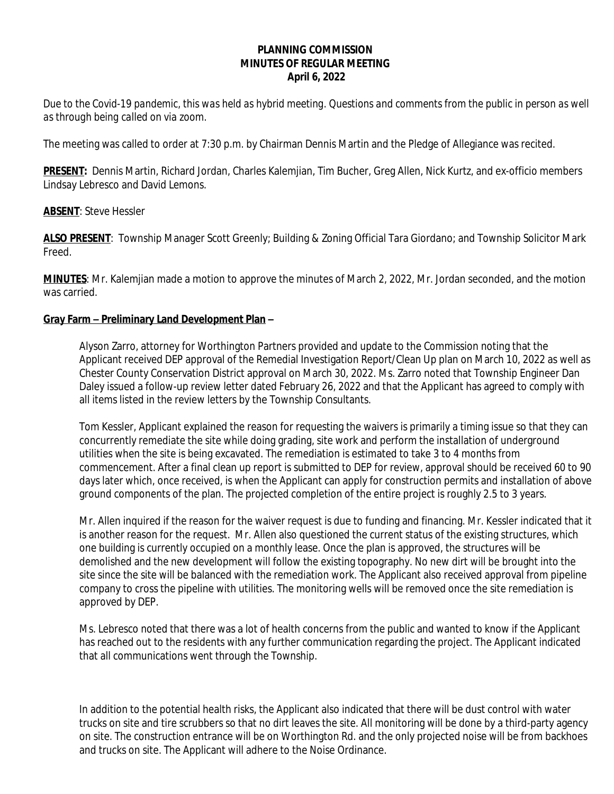## **PLANNING COMMISSION MINUTES OF REGULAR MEETING April 6, 2022**

*Due to the Covid-19 pandemic, this was held as hybrid meeting. Questions and comments from the public in person as well as through being called on via zoom.*

The meeting was called to order at 7:30 p.m. by Chairman Dennis Martin and the Pledge of Allegiance was recited.

**PRESENT:** Dennis Martin, Richard Jordan, Charles Kalemjian, Tim Bucher, Greg Allen, Nick Kurtz, and ex-officio members Lindsay Lebresco and David Lemons.

## **ABSENT**: Steve Hessler

**ALSO PRESENT**: Township Manager Scott Greenly; Building & Zoning Official Tara Giordano; and Township Solicitor Mark Freed.

**MINUTES**: Mr. Kalemjian made a motion to approve the minutes of March 2, 2022, Mr. Jordan seconded, and the motion was carried.

## **Gray Farm – Preliminary Land Development Plan –**

Alyson Zarro, attorney for Worthington Partners provided and update to the Commission noting that the Applicant received DEP approval of the Remedial Investigation Report/Clean Up plan on March 10, 2022 as well as Chester County Conservation District approval on March 30, 2022. Ms. Zarro noted that Township Engineer Dan Daley issued a follow-up review letter dated February 26, 2022 and that the Applicant has agreed to comply with all items listed in the review letters by the Township Consultants.

Tom Kessler, Applicant explained the reason for requesting the waivers is primarily a timing issue so that they can concurrently remediate the site while doing grading, site work and perform the installation of underground utilities when the site is being excavated. The remediation is estimated to take 3 to 4 months from commencement. After a final clean up report is submitted to DEP for review, approval should be received 60 to 90 days later which, once received, is when the Applicant can apply for construction permits and installation of above ground components of the plan. The projected completion of the entire project is roughly 2.5 to 3 years.

Mr. Allen inquired if the reason for the waiver request is due to funding and financing. Mr. Kessler indicated that it is another reason for the request. Mr. Allen also questioned the current status of the existing structures, which one building is currently occupied on a monthly lease. Once the plan is approved, the structures will be demolished and the new development will follow the existing topography. No new dirt will be brought into the site since the site will be balanced with the remediation work. The Applicant also received approval from pipeline company to cross the pipeline with utilities. The monitoring wells will be removed once the site remediation is approved by DEP.

Ms. Lebresco noted that there was a lot of health concerns from the public and wanted to know if the Applicant has reached out to the residents with any further communication regarding the project. The Applicant indicated that all communications went through the Township.

In addition to the potential health risks, the Applicant also indicated that there will be dust control with water trucks on site and tire scrubbers so that no dirt leaves the site. All monitoring will be done by a third-party agency on site. The construction entrance will be on Worthington Rd. and the only projected noise will be from backhoes and trucks on site. The Applicant will adhere to the Noise Ordinance.